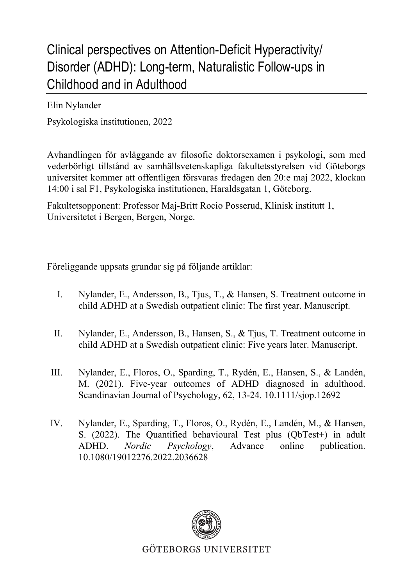## Clinical perspectives on Attention-Deficit Hyperactivity/ Disorder (ADHD): Long-term, Naturalistic Follow-ups in Childhood and in Adulthood

Elin Nylander

Psykologiska institutionen, 2022

Avhandlingen för avläggande av filosofie doktorsexamen i psykologi, som med vederbörligt tillstånd av samhällsvetenskapliga fakultetsstyrelsen vid Göteborgs universitet kommer att offentligen försvaras fredagen den 20:e maj 2022, klockan 14:00 i sal F1, Psykologiska institutionen, Haraldsgatan 1, Göteborg.

Fakultetsopponent: Professor Maj-Britt Rocio Posserud, Klinisk institutt 1, Universitetet i Bergen, Bergen, Norge.

Föreliggande uppsats grundar sig på följande artiklar:

- I. Nylander, E., Andersson, B., Tjus, T., & Hansen, S. Treatment outcome in child ADHD at a Swedish outpatient clinic: The first year. Manuscript.
- II. Nylander, E., Andersson, B., Hansen, S., & Tjus, T. Treatment outcome in child ADHD at a Swedish outpatient clinic: Five years later. Manuscript.
- III. Nylander, E., Floros, O., Sparding, T., Rydén, E., Hansen, S., & Landén, M. (2021). Five-year outcomes of ADHD diagnosed in adulthood. Scandinavian Journal of Psychology, 62, 13-24. 10.1111/sjop.12692
- IV. Nylander, E., Sparding, T., Floros, O., Rydén, E., Landén, M., & Hansen, S. (2022). The Quantified behavioural Test plus (QbTest+) in adult ADHD. *Nordic Psychology*, Advance online publication. 10.1080/19012276.2022.2036628